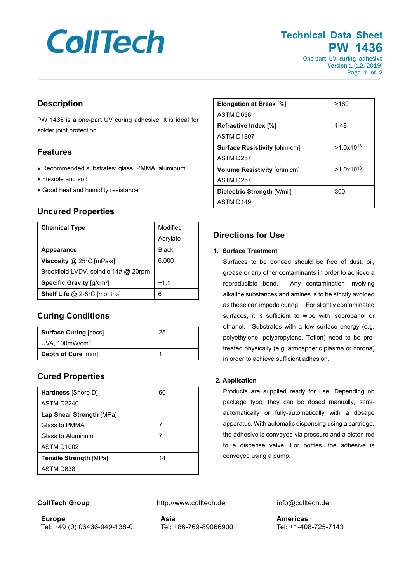# **CollTech**

# **Technical Data Sheet PW 1436**

One-part UV curing adhesive Version 1 (12/2019) Page 1 of 2

# **Description**

PW 1436 is a one-part UV curing adhesive. It is ideal for solder joint protection.

# **Features**

- Recommended substrates: glass, PMMA, aluminum
- Flexible and soft
- Good heat and humidity resistance

## **Uncured Properties**

| <b>Chemical Type</b>                       | Modified     |
|--------------------------------------------|--------------|
|                                            | Acrylate     |
| <b>Appearance</b>                          | <b>Black</b> |
| Viscosity @ 25 $\degree$ C [mPa $\cdot$ s] | 6,000        |
| Brookfield LVDV, spindle 14# @ 20rpm       |              |
| Specific Gravity [g/cm <sup>3</sup> ]      | $-1.1$       |
| <b>Shelf Life @ 2-8°C [months]</b>         | 6            |

# **Curing Conditions**

| <b>Surface Curing [secs]</b>  | 25 |
|-------------------------------|----|
| $UVA$ , 100mW/cm <sup>2</sup> |    |
| Depth of Cure [mm]            |    |

# **Cured Properties**

| <b>Hardness</b> [Shore D]     | 60 |
|-------------------------------|----|
| ASTM D2240                    |    |
| Lap Shear Strength [MPa]      |    |
| Glass to PMMA                 | 7  |
| Glass to Aluminum             | 7  |
| ASTM D1002                    |    |
| <b>Tensile Strength [MPa]</b> | 14 |
| ASTM D638                     |    |

| <b>Elongation at Break [%]</b>      | >180           |
|-------------------------------------|----------------|
| ASTM D638                           |                |
| Refractive Index [%]                | 1.48           |
| ASTM D <sub>1807</sub>              |                |
| <b>Surface Resistivity [ohm.cm]</b> | $>1.0x10^{13}$ |
| ASTM D <sub>257</sub>               |                |
| Volume Resistivity [ohm-cm]         | $>1.0x10^{13}$ |
| ASTM D <sub>257</sub>               |                |
| Dielectric Strength [V/mil]         | 300            |
| ASTM D <sub>149</sub>               |                |

# **Directions for Use**

#### **1. Surface Treatment**

Surfaces to be bonded should be free of dust, oil, grease or any other contaminants in order to achieve a reproducible bond. Any contamination involving alkaline substances and amines is to be strictly avoided as these can impede curing. For slightly contaminated surfaces, it is sufficient to wipe with isopropanol or ethanol. Substrates with a low surface energy (e.g. polyethylene, polypropylene, Teflon) need to be pretreated physically (e.g. atmospheric plasma or corona) in order to achieve sufficient adhesion.

#### **2. Application**

Products are supplied ready for use. Depending on package type, they can be dosed manually, semiautomatically or fully-automatically with a dosage apparatus. With automatic dispensing using a cartridge, the adhesive is conveyed via pressure and a piston rod to a dispense valve. For bottles, the adhesive is conveyed using a pump.

**Europe** Tel: +49 (0) 06436-949-138-0

**CollTech Group http://www.colltech.de info@colltech.de info@colltech.de** 

**Asia** Tel: +86-769-89066900

**Americas** Tel: +1-408-725-7143